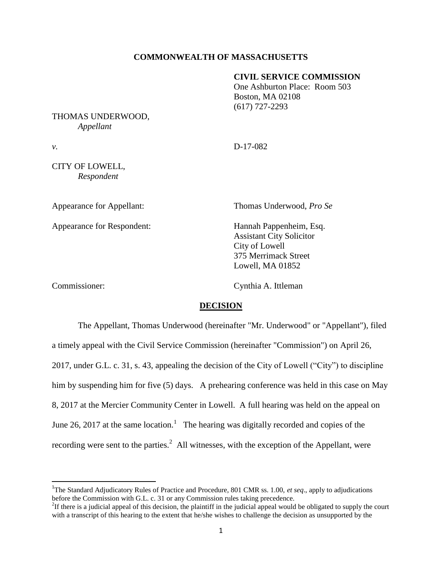## **COMMONWEALTH OF MASSACHUSETTS**

## **CIVIL SERVICE COMMISSION**

One Ashburton Place: Room 503 Boston, MA 02108 (617) 727-2293

### THOMAS UNDERWOOD, *Appellant*

*v.* D-17-082

CITY OF LOWELL, *Respondent*

Appearance for Respondent: Hannah Pappenheim, Esq.

Appearance for Appellant: Thomas Underwood, *Pro Se*

Assistant City Solicitor City of Lowell 375 Merrimack Street Lowell, MA 01852

 $\overline{\phantom{a}}$ 

Commissioner: Cynthia A. Ittleman

# **DECISION**

The Appellant, Thomas Underwood (hereinafter "Mr. Underwood" or "Appellant"), filed a timely appeal with the Civil Service Commission (hereinafter "Commission") on April 26, 2017, under G.L. c. 31, s. 43, appealing the decision of the City of Lowell ("City") to discipline him by suspending him for five (5) days. A prehearing conference was held in this case on May 8, 2017 at the Mercier Community Center in Lowell. A full hearing was held on the appeal on June 26, 2017 at the same location.<sup>1</sup> The hearing was digitally recorded and copies of the recording were sent to the parties. $^2$  All witnesses, with the exception of the Appellant, were

<sup>&</sup>lt;sup>1</sup>The Standard Adjudicatory Rules of Practice and Procedure, 801 CMR ss. 1.00, *et seq.*, apply to adjudications before the Commission with G.L. c. 31 or any Commission rules taking precedence.

 ${}^{2}$ If there is a judicial appeal of this decision, the plaintiff in the judicial appeal would be obligated to supply the court with a transcript of this hearing to the extent that he/she wishes to challenge the decision as unsupported by the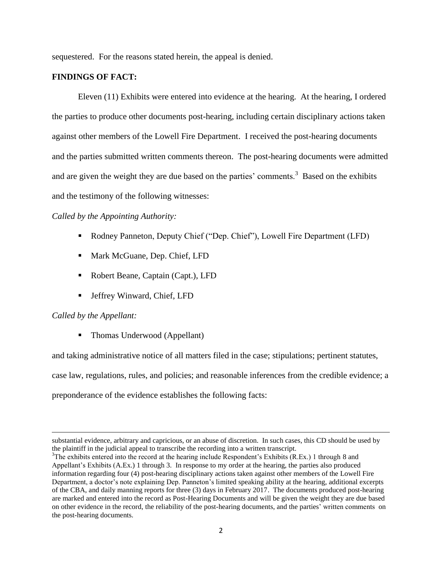sequestered. For the reasons stated herein, the appeal is denied.

# **FINDINGS OF FACT:**

Eleven (11) Exhibits were entered into evidence at the hearing. At the hearing, I ordered the parties to produce other documents post-hearing, including certain disciplinary actions taken against other members of the Lowell Fire Department. I received the post-hearing documents and the parties submitted written comments thereon. The post-hearing documents were admitted and are given the weight they are due based on the parties' comments.<sup>3</sup> Based on the exhibits and the testimony of the following witnesses:

# *Called by the Appointing Authority:*

- Rodney Panneton, Deputy Chief ("Dep. Chief"), Lowell Fire Department (LFD)
- Mark McGuane, Dep. Chief, LFD
- Robert Beane, Captain (Capt.), LFD
- Jeffrey Winward, Chief, LFD

## *Called by the Appellant:*

 $\overline{\phantom{a}}$ 

• Thomas Underwood (Appellant)

and taking administrative notice of all matters filed in the case; stipulations; pertinent statutes,

case law, regulations, rules, and policies; and reasonable inferences from the credible evidence; a

preponderance of the evidence establishes the following facts:

substantial evidence, arbitrary and capricious, or an abuse of discretion. In such cases, this CD should be used by the plaintiff in the judicial appeal to transcribe the recording into a written transcript.

<sup>&</sup>lt;sup>3</sup>The exhibits entered into the record at the hearing include Respondent's Exhibits (R.Ex.) 1 through 8 and Appellant's Exhibits (A.Ex.) 1 through 3. In response to my order at the hearing, the parties also produced information regarding four (4) post-hearing disciplinary actions taken against other members of the Lowell Fire Department, a doctor's note explaining Dep. Panneton's limited speaking ability at the hearing, additional excerpts of the CBA, and daily manning reports for three (3) days in February 2017. The documents produced post-hearing are marked and entered into the record as Post-Hearing Documents and will be given the weight they are due based on other evidence in the record, the reliability of the post-hearing documents, and the parties' written comments on the post-hearing documents.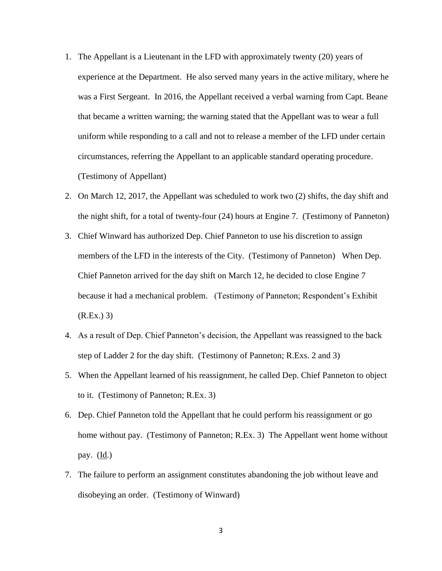- 1. The Appellant is a Lieutenant in the LFD with approximately twenty (20) years of experience at the Department. He also served many years in the active military, where he was a First Sergeant. In 2016, the Appellant received a verbal warning from Capt. Beane that became a written warning; the warning stated that the Appellant was to wear a full uniform while responding to a call and not to release a member of the LFD under certain circumstances, referring the Appellant to an applicable standard operating procedure. (Testimony of Appellant)
- 2. On March 12, 2017, the Appellant was scheduled to work two (2) shifts, the day shift and the night shift, for a total of twenty-four (24) hours at Engine 7. (Testimony of Panneton)
- 3. Chief Winward has authorized Dep. Chief Panneton to use his discretion to assign members of the LFD in the interests of the City. (Testimony of Panneton) When Dep. Chief Panneton arrived for the day shift on March 12, he decided to close Engine 7 because it had a mechanical problem. (Testimony of Panneton; Respondent's Exhibit  $(R.Ex.)$  3)
- 4. As a result of Dep. Chief Panneton's decision, the Appellant was reassigned to the back step of Ladder 2 for the day shift. (Testimony of Panneton; R.Exs. 2 and 3)
- 5. When the Appellant learned of his reassignment, he called Dep. Chief Panneton to object to it. (Testimony of Panneton; R.Ex. 3)
- 6. Dep. Chief Panneton told the Appellant that he could perform his reassignment or go home without pay. (Testimony of Panneton; R.Ex. 3) The Appellant went home without pay.  $(\underline{Id})$
- 7. The failure to perform an assignment constitutes abandoning the job without leave and disobeying an order. (Testimony of Winward)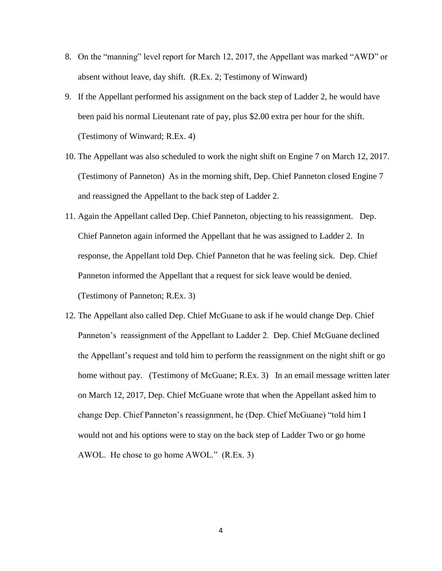- 8. On the "manning" level report for March 12, 2017, the Appellant was marked "AWD" or absent without leave, day shift. (R.Ex. 2; Testimony of Winward)
- 9. If the Appellant performed his assignment on the back step of Ladder 2, he would have been paid his normal Lieutenant rate of pay, plus \$2.00 extra per hour for the shift. (Testimony of Winward; R.Ex. 4)
- 10. The Appellant was also scheduled to work the night shift on Engine 7 on March 12, 2017. (Testimony of Panneton) As in the morning shift, Dep. Chief Panneton closed Engine 7 and reassigned the Appellant to the back step of Ladder 2.
- 11. Again the Appellant called Dep. Chief Panneton, objecting to his reassignment. Dep. Chief Panneton again informed the Appellant that he was assigned to Ladder 2. In response, the Appellant told Dep. Chief Panneton that he was feeling sick. Dep. Chief Panneton informed the Appellant that a request for sick leave would be denied. (Testimony of Panneton; R.Ex. 3)
- 12. The Appellant also called Dep. Chief McGuane to ask if he would change Dep. Chief Panneton's reassignment of the Appellant to Ladder 2. Dep. Chief McGuane declined the Appellant's request and told him to perform the reassignment on the night shift or go home without pay. (Testimony of McGuane; R.Ex. 3) In an email message written later on March 12, 2017, Dep. Chief McGuane wrote that when the Appellant asked him to change Dep. Chief Panneton's reassignment, he (Dep. Chief McGuane) "told him I would not and his options were to stay on the back step of Ladder Two or go home AWOL. He chose to go home AWOL." (R.Ex. 3)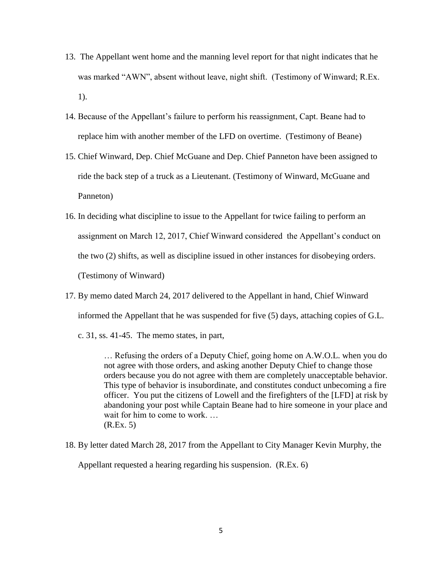- 13. The Appellant went home and the manning level report for that night indicates that he was marked "AWN", absent without leave, night shift. (Testimony of Winward; R.Ex. 1).
- 14. Because of the Appellant's failure to perform his reassignment, Capt. Beane had to replace him with another member of the LFD on overtime. (Testimony of Beane)
- 15. Chief Winward, Dep. Chief McGuane and Dep. Chief Panneton have been assigned to ride the back step of a truck as a Lieutenant. (Testimony of Winward, McGuane and Panneton)
- 16. In deciding what discipline to issue to the Appellant for twice failing to perform an assignment on March 12, 2017, Chief Winward considered the Appellant's conduct on the two (2) shifts, as well as discipline issued in other instances for disobeying orders. (Testimony of Winward)
- 17. By memo dated March 24, 2017 delivered to the Appellant in hand, Chief Winward informed the Appellant that he was suspended for five (5) days, attaching copies of G.L.
	- c. 31, ss. 41-45. The memo states, in part,

… Refusing the orders of a Deputy Chief, going home on A.W.O.L. when you do not agree with those orders, and asking another Deputy Chief to change those orders because you do not agree with them are completely unacceptable behavior. This type of behavior is insubordinate, and constitutes conduct unbecoming a fire officer. You put the citizens of Lowell and the firefighters of the [LFD] at risk by abandoning your post while Captain Beane had to hire someone in your place and wait for him to come to work. ... (R.Ex. 5)

18. By letter dated March 28, 2017 from the Appellant to City Manager Kevin Murphy, the

Appellant requested a hearing regarding his suspension. (R.Ex. 6)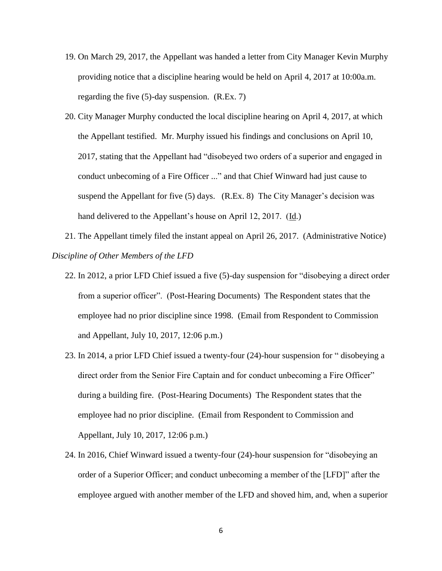- 19. On March 29, 2017, the Appellant was handed a letter from City Manager Kevin Murphy providing notice that a discipline hearing would be held on April 4, 2017 at 10:00a.m. regarding the five (5)-day suspension. (R.Ex. 7)
- 20. City Manager Murphy conducted the local discipline hearing on April 4, 2017, at which the Appellant testified. Mr. Murphy issued his findings and conclusions on April 10, 2017, stating that the Appellant had "disobeyed two orders of a superior and engaged in conduct unbecoming of a Fire Officer ..." and that Chief Winward had just cause to suspend the Appellant for five (5) days. (R.Ex. 8) The City Manager's decision was hand delivered to the Appellant's house on April 12, 2017. (Id.)

21. The Appellant timely filed the instant appeal on April 26, 2017. (Administrative Notice) *Discipline of Other Members of the LFD*

- 22. In 2012, a prior LFD Chief issued a five (5)-day suspension for "disobeying a direct order from a superior officer". (Post-Hearing Documents) The Respondent states that the employee had no prior discipline since 1998. (Email from Respondent to Commission and Appellant, July 10, 2017, 12:06 p.m.)
- 23. In 2014, a prior LFD Chief issued a twenty-four (24)-hour suspension for " disobeying a direct order from the Senior Fire Captain and for conduct unbecoming a Fire Officer" during a building fire. (Post-Hearing Documents) The Respondent states that the employee had no prior discipline. (Email from Respondent to Commission and Appellant, July 10, 2017, 12:06 p.m.)
- 24. In 2016, Chief Winward issued a twenty-four (24)-hour suspension for "disobeying an order of a Superior Officer; and conduct unbecoming a member of the [LFD]" after the employee argued with another member of the LFD and shoved him, and, when a superior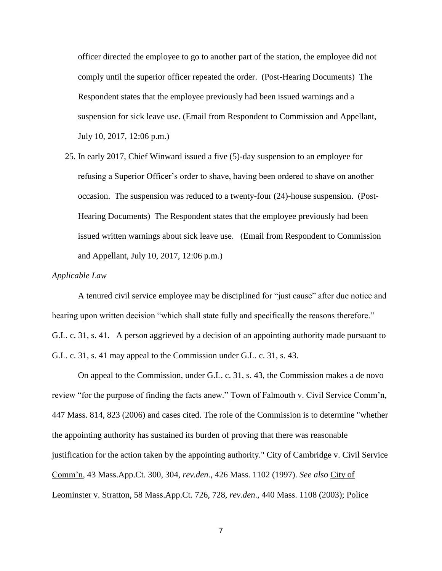officer directed the employee to go to another part of the station, the employee did not comply until the superior officer repeated the order. (Post-Hearing Documents) The Respondent states that the employee previously had been issued warnings and a suspension for sick leave use. (Email from Respondent to Commission and Appellant, July 10, 2017, 12:06 p.m.)

25. In early 2017, Chief Winward issued a five (5)-day suspension to an employee for refusing a Superior Officer's order to shave, having been ordered to shave on another occasion. The suspension was reduced to a twenty-four (24)-house suspension. (Post-Hearing Documents) The Respondent states that the employee previously had been issued written warnings about sick leave use. (Email from Respondent to Commission and Appellant, July 10, 2017, 12:06 p.m.)

#### *Applicable Law*

A tenured civil service employee may be disciplined for "just cause" after due notice and hearing upon written decision "which shall state fully and specifically the reasons therefore." G.L. c. 31, s. 41. A person aggrieved by a decision of an appointing authority made pursuant to G.L. c. 31, s. 41 may appeal to the Commission under G.L. c. 31, s. 43.

On appeal to the Commission, under G.L. c. 31, s. 43, the Commission makes a de novo review "for the purpose of finding the facts anew." Town of Falmouth v. Civil Service Comm'n, 447 Mass. 814, 823 (2006) and cases cited. The role of the Commission is to determine "whether the appointing authority has sustained its burden of proving that there was reasonable justification for the action taken by the appointing authority." City of Cambridge v. Civil Service Comm'n, 43 Mass.App.Ct. 300, 304, *rev.den*., 426 Mass. 1102 (1997). *See also* City of Leominster v. Stratton, 58 Mass.App.Ct. 726, 728, *rev.den*., 440 Mass. 1108 (2003); Police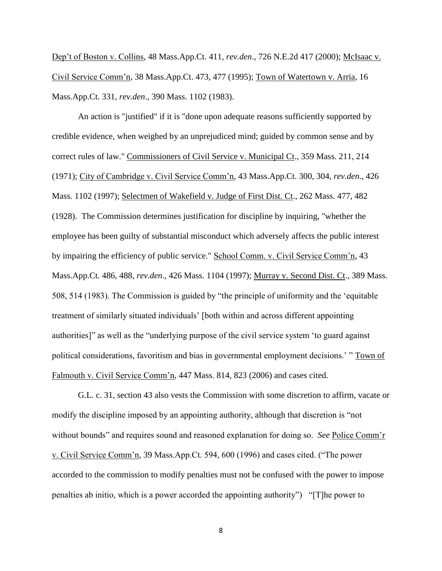Dep't of Boston v. Collins, 48 Mass.App.Ct. 411, *rev.den*., 726 N.E.2d 417 (2000); McIsaac v. Civil Service Comm'n, 38 Mass.App.Ct. 473, 477 (1995); Town of Watertown v. Arria, 16 Mass.App.Ct. 331, *rev.den*., 390 Mass. 1102 (1983).

An action is "justified" if it is "done upon adequate reasons sufficiently supported by credible evidence, when weighed by an unprejudiced mind; guided by common sense and by correct rules of law." Commissioners of Civil Service v. Municipal Ct., 359 Mass. 211, 214 (1971); City of Cambridge v. Civil Service Comm'n, 43 Mass.App.Ct. 300, 304, *rev.den*., 426 Mass. 1102 (1997); Selectmen of Wakefield v. Judge of First Dist. Ct., 262 Mass. 477, 482 (1928). The Commission determines justification for discipline by inquiring, "whether the employee has been guilty of substantial misconduct which adversely affects the public interest by impairing the efficiency of public service." School Comm. v. Civil Service Comm'n, 43 Mass.App.Ct. 486, 488, *rev.den*., 426 Mass. 1104 (1997); Murray v. Second Dist. Ct., 389 Mass. 508, 514 (1983). The Commission is guided by "the principle of uniformity and the 'equitable treatment of similarly situated individuals' [both within and across different appointing authorities]" as well as the "underlying purpose of the civil service system 'to guard against political considerations, favoritism and bias in governmental employment decisions.' " Town of Falmouth v. Civil Service Comm'n, 447 Mass. 814, 823 (2006) and cases cited.

G.L. c. 31, section 43 also vests the Commission with some discretion to affirm, vacate or modify the discipline imposed by an appointing authority, although that discretion is "not without bounds" and requires sound and reasoned explanation for doing so. *See* Police Comm'r v. Civil Service Comm'n, 39 Mass.App.Ct. 594, 600 (1996) and cases cited. ("The power accorded to the commission to modify penalties must not be confused with the power to impose penalties ab initio, which is a power accorded the appointing authority") "[T]he power to

8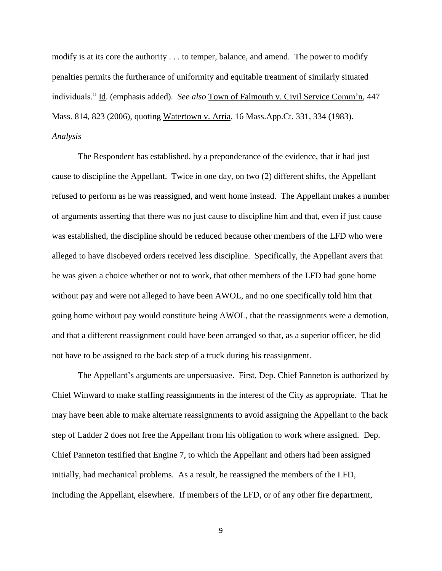modify is at its core the authority . . . to temper, balance, and amend. The power to modify penalties permits the furtherance of uniformity and equitable treatment of similarly situated individuals." Id. (emphasis added). *See also* Town of Falmouth v. Civil Service Comm'n, 447 Mass. 814, 823 (2006), quoting Watertown v. Arria, 16 Mass.App.Ct. 331, 334 (1983). *Analysis*

The Respondent has established, by a preponderance of the evidence, that it had just cause to discipline the Appellant. Twice in one day, on two (2) different shifts, the Appellant refused to perform as he was reassigned, and went home instead. The Appellant makes a number of arguments asserting that there was no just cause to discipline him and that, even if just cause was established, the discipline should be reduced because other members of the LFD who were alleged to have disobeyed orders received less discipline. Specifically, the Appellant avers that he was given a choice whether or not to work, that other members of the LFD had gone home without pay and were not alleged to have been AWOL, and no one specifically told him that going home without pay would constitute being AWOL, that the reassignments were a demotion, and that a different reassignment could have been arranged so that, as a superior officer, he did not have to be assigned to the back step of a truck during his reassignment.

The Appellant's arguments are unpersuasive. First, Dep. Chief Panneton is authorized by Chief Winward to make staffing reassignments in the interest of the City as appropriate. That he may have been able to make alternate reassignments to avoid assigning the Appellant to the back step of Ladder 2 does not free the Appellant from his obligation to work where assigned. Dep. Chief Panneton testified that Engine 7, to which the Appellant and others had been assigned initially, had mechanical problems. As a result, he reassigned the members of the LFD, including the Appellant, elsewhere. If members of the LFD, or of any other fire department,

9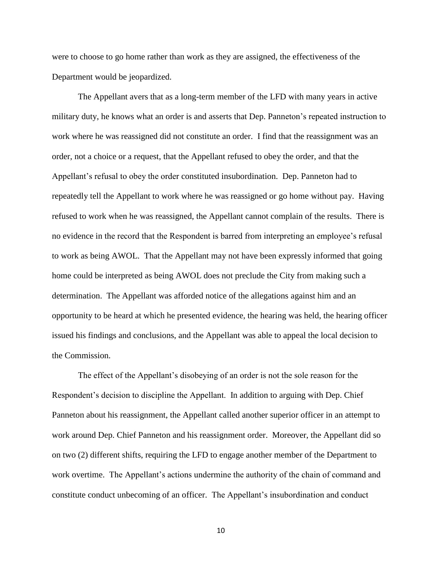were to choose to go home rather than work as they are assigned, the effectiveness of the Department would be jeopardized.

The Appellant avers that as a long-term member of the LFD with many years in active military duty, he knows what an order is and asserts that Dep. Panneton's repeated instruction to work where he was reassigned did not constitute an order. I find that the reassignment was an order, not a choice or a request, that the Appellant refused to obey the order, and that the Appellant's refusal to obey the order constituted insubordination. Dep. Panneton had to repeatedly tell the Appellant to work where he was reassigned or go home without pay. Having refused to work when he was reassigned, the Appellant cannot complain of the results. There is no evidence in the record that the Respondent is barred from interpreting an employee's refusal to work as being AWOL. That the Appellant may not have been expressly informed that going home could be interpreted as being AWOL does not preclude the City from making such a determination. The Appellant was afforded notice of the allegations against him and an opportunity to be heard at which he presented evidence, the hearing was held, the hearing officer issued his findings and conclusions, and the Appellant was able to appeal the local decision to the Commission.

The effect of the Appellant's disobeying of an order is not the sole reason for the Respondent's decision to discipline the Appellant. In addition to arguing with Dep. Chief Panneton about his reassignment, the Appellant called another superior officer in an attempt to work around Dep. Chief Panneton and his reassignment order. Moreover, the Appellant did so on two (2) different shifts, requiring the LFD to engage another member of the Department to work overtime. The Appellant's actions undermine the authority of the chain of command and constitute conduct unbecoming of an officer. The Appellant's insubordination and conduct

10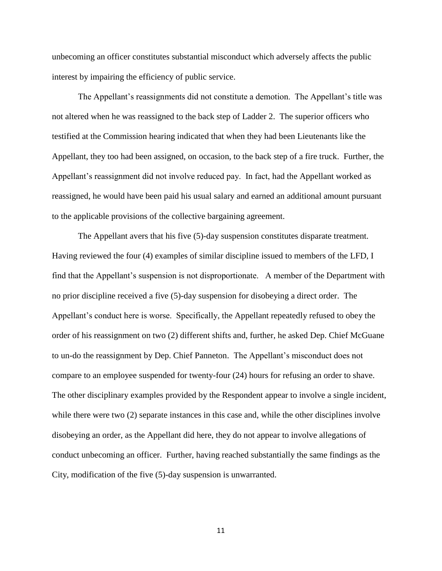unbecoming an officer constitutes substantial misconduct which adversely affects the public interest by impairing the efficiency of public service.

The Appellant's reassignments did not constitute a demotion. The Appellant's title was not altered when he was reassigned to the back step of Ladder 2. The superior officers who testified at the Commission hearing indicated that when they had been Lieutenants like the Appellant, they too had been assigned, on occasion, to the back step of a fire truck. Further, the Appellant's reassignment did not involve reduced pay. In fact, had the Appellant worked as reassigned, he would have been paid his usual salary and earned an additional amount pursuant to the applicable provisions of the collective bargaining agreement.

The Appellant avers that his five (5)-day suspension constitutes disparate treatment. Having reviewed the four (4) examples of similar discipline issued to members of the LFD, I find that the Appellant's suspension is not disproportionate. A member of the Department with no prior discipline received a five (5)-day suspension for disobeying a direct order. The Appellant's conduct here is worse. Specifically, the Appellant repeatedly refused to obey the order of his reassignment on two (2) different shifts and, further, he asked Dep. Chief McGuane to un-do the reassignment by Dep. Chief Panneton. The Appellant's misconduct does not compare to an employee suspended for twenty-four (24) hours for refusing an order to shave. The other disciplinary examples provided by the Respondent appear to involve a single incident, while there were two (2) separate instances in this case and, while the other disciplines involve disobeying an order, as the Appellant did here, they do not appear to involve allegations of conduct unbecoming an officer. Further, having reached substantially the same findings as the City, modification of the five (5)-day suspension is unwarranted.